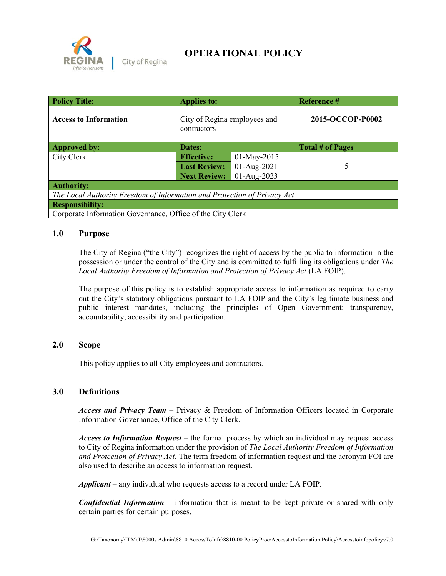

City of Regina

# **OPERATIONAL POLICY**

| <b>Policy Title:</b>                                                     | <b>Applies to:</b>                          |             | Reference #             |  |  |
|--------------------------------------------------------------------------|---------------------------------------------|-------------|-------------------------|--|--|
| <b>Access to Information</b>                                             | City of Regina employees and<br>contractors |             | 2015-OCCOP-P0002        |  |  |
| <b>Approved by:</b>                                                      | Dates:                                      |             | <b>Total # of Pages</b> |  |  |
| City Clerk                                                               | <b>Effective:</b>                           | 01-May-2015 |                         |  |  |
|                                                                          | <b>Last Review:</b>                         | 01-Aug-2021 | 5                       |  |  |
|                                                                          | <b>Next Review:</b>                         | 01-Aug-2023 |                         |  |  |
| <b>Authority:</b>                                                        |                                             |             |                         |  |  |
| The Local Authority Freedom of Information and Protection of Privacy Act |                                             |             |                         |  |  |
| <b>Responsibility:</b>                                                   |                                             |             |                         |  |  |
| Corporate Information Governance, Office of the City Clerk               |                                             |             |                         |  |  |

### **1.0 Purpose**

The City of Regina ("the City") recognizes the right of access by the public to information in the possession or under the control of the City and is committed to fulfilling its obligations under *The Local Authority Freedom of Information and Protection of Privacy Act* (LA FOIP).

The purpose of this policy is to establish appropriate access to information as required to carry out the City's statutory obligations pursuant to LA FOIP and the City's legitimate business and public interest mandates, including the principles of Open Government: transparency, accountability, accessibility and participation.

## **2.0 Scope**

This policy applies to all City employees and contractors.

#### **3.0 Definitions**

*Access and Privacy Team* **–** Privacy & Freedom of Information Officers located in Corporate Information Governance, Office of the City Clerk.

*Access to Information Request –* the formal process by which an individual may request access to City of Regina information under the provision of *The Local Authority Freedom of Information and Protection of Privacy Act*. The term freedom of information request and the acronym FOI are also used to describe an access to information request.

*Applicant –* any individual who requests access to a record under LA FOIP.

*Confidential Information* – information that is meant to be kept private or shared with only certain parties for certain purposes.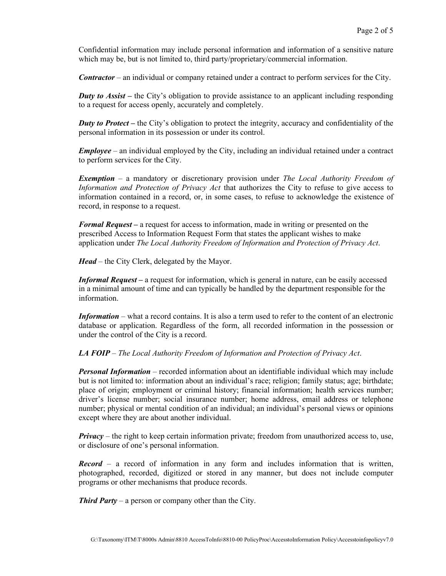Confidential information may include personal information and information of a sensitive nature which may be, but is not limited to, third party/proprietary/commercial information.

*Contractor* – an individual or company retained under a contract to perform services for the City.

*Duty to Assist* – the City's obligation to provide assistance to an applicant including responding to a request for access openly, accurately and completely.

*Duty to Protect* – the City's obligation to protect the integrity, accuracy and confidentiality of the personal information in its possession or under its control.

*Employee* – an individual employed by the City, including an individual retained under a contract to perform services for the City.

*Exemption* – a mandatory or discretionary provision under *The Local Authority Freedom of Information and Protection of Privacy Act* that authorizes the City to refuse to give access to information contained in a record, or, in some cases, to refuse to acknowledge the existence of record, in response to a request.

*Formal Request –* a request for access to information, made in writing or presented on the prescribed Access to Information Request Form that states the applicant wishes to make application under *The Local Authority Freedom of Information and Protection of Privacy Act*.

*Head* – the City Clerk, delegated by the Mayor.

*Informal Request* – a request for information, which is general in nature, can be easily accessed in a minimal amount of time and can typically be handled by the department responsible for the information.

*Information* – what a record contains. It is also a term used to refer to the content of an electronic database or application. Regardless of the form, all recorded information in the possession or under the control of the City is a record.

*LA FOIP* – *The Local Authority Freedom of Information and Protection of Privacy Act*.

*Personal Information* – recorded information about an identifiable individual which may include but is not limited to: information about an individual's race; religion; family status; age; birthdate; place of origin; employment or criminal history; financial information; health services number; driver's license number; social insurance number; home address, email address or telephone number; physical or mental condition of an individual; an individual's personal views or opinions except where they are about another individual.

*Privacy* – the right to keep certain information private; freedom from unauthorized access to, use, or disclosure of one's personal information.

*Record* – a record of information in any form and includes information that is written, photographed, recorded, digitized or stored in any manner, but does not include computer programs or other mechanisms that produce records.

*Third Party* – a person or company other than the City.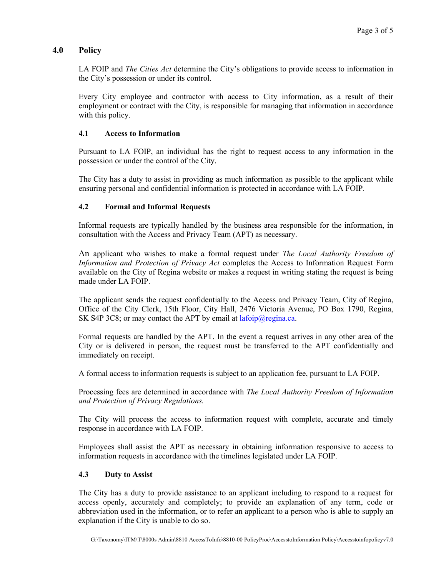# **4.0 Policy**

LA FOIP and *The Cities Act* determine the City's obligations to provide access to information in the City's possession or under its control.

Every City employee and contractor with access to City information, as a result of their employment or contract with the City, is responsible for managing that information in accordance with this policy.

#### **4.1 Access to Information**

Pursuant to LA FOIP, an individual has the right to request access to any information in the possession or under the control of the City.

The City has a duty to assist in providing as much information as possible to the applicant while ensuring personal and confidential information is protected in accordance with LA FOIP*.*

#### **4.2 Formal and Informal Requests**

Informal requests are typically handled by the business area responsible for the information, in consultation with the Access and Privacy Team (APT) as necessary.

An applicant who wishes to make a formal request under *The Local Authority Freedom of Information and Protection of Privacy Act* completes the Access to Information Request Form available on the City of Regina website or makes a request in writing stating the request is being made under LA FOIP.

The applicant sends the request confidentially to the Access and Privacy Team, City of Regina, Office of the City Clerk, 15th Floor, City Hall, 2476 Victoria Avenue, PO Box 1790, Regina, SK S4P 3C8; or may contact the APT by email at  $l$ afoip $\omega$ regina.ca.

Formal requests are handled by the APT. In the event a request arrives in any other area of the City or is delivered in person, the request must be transferred to the APT confidentially and immediately on receipt.

A formal access to information requests is subject to an application fee, pursuant to LA FOIP.

Processing fees are determined in accordance with *The Local Authority Freedom of Information and Protection of Privacy Regulations.*

The City will process the access to information request with complete, accurate and timely response in accordance with LA FOIP.

Employees shall assist the APT as necessary in obtaining information responsive to access to information requests in accordance with the timelines legislated under LA FOIP.

#### **4.3 Duty to Assist**

The City has a duty to provide assistance to an applicant including to respond to a request for access openly, accurately and completely; to provide an explanation of any term, code or abbreviation used in the information, or to refer an applicant to a person who is able to supply an explanation if the City is unable to do so.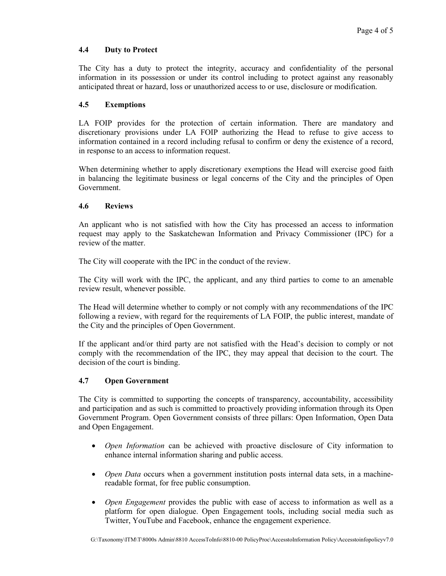#### **4.4 Duty to Protect**

The City has a duty to protect the integrity, accuracy and confidentiality of the personal information in its possession or under its control including to protect against any reasonably anticipated threat or hazard, loss or unauthorized access to or use, disclosure or modification.

#### **4.5 Exemptions**

LA FOIP provides for the protection of certain information. There are mandatory and discretionary provisions under LA FOIP authorizing the Head to refuse to give access to information contained in a record including refusal to confirm or deny the existence of a record, in response to an access to information request.

When determining whether to apply discretionary exemptions the Head will exercise good faith in balancing the legitimate business or legal concerns of the City and the principles of Open Government.

#### **4.6 Reviews**

An applicant who is not satisfied with how the City has processed an access to information request may apply to the Saskatchewan Information and Privacy Commissioner (IPC) for a review of the matter.

The City will cooperate with the IPC in the conduct of the review.

The City will work with the IPC, the applicant, and any third parties to come to an amenable review result, whenever possible.

The Head will determine whether to comply or not comply with any recommendations of the IPC following a review, with regard for the requirements of LA FOIP, the public interest, mandate of the City and the principles of Open Government.

If the applicant and/or third party are not satisfied with the Head's decision to comply or not comply with the recommendation of the IPC, they may appeal that decision to the court. The decision of the court is binding.

#### **4.7 Open Government**

The City is committed to supporting the concepts of transparency, accountability, accessibility and participation and as such is committed to proactively providing information through its Open Government Program. Open Government consists of three pillars: Open Information, Open Data and Open Engagement.

- *Open Information* can be achieved with proactive disclosure of City information to enhance internal information sharing and public access.
- *Open Data* occurs when a government institution posts internal data sets, in a machinereadable format, for free public consumption.
- *Open Engagement* provides the public with ease of access to information as well as a platform for open dialogue. Open Engagement tools, including social media such as Twitter, YouTube and Facebook, enhance the engagement experience.